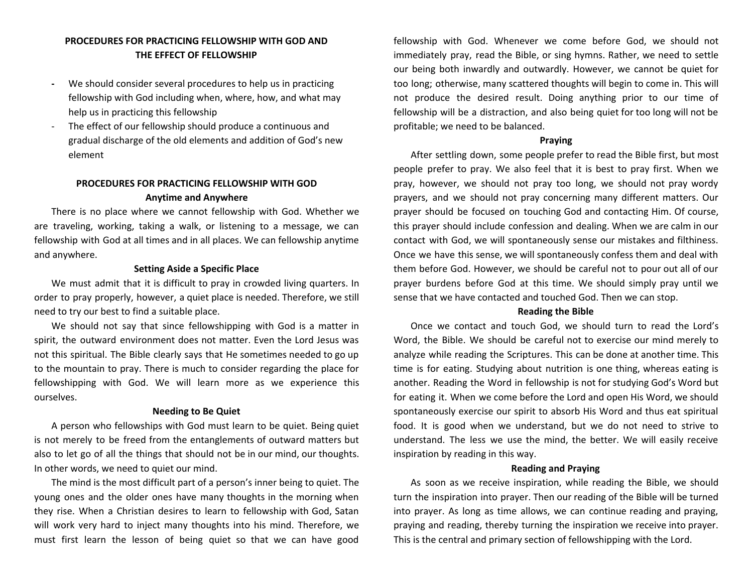# **PROCEDURES FOR PRACTICING FELLOWSHIP WITH GOD AND THE EFFECT OF FELLOWSHIP**

- **-** We should consider several procedures to help us in practicing fellowship with God including when, where, how, and what may help us in practicing this fellowship
- The effect of our fellowship should produce a continuous and gradual discharge of the old elements and addition of God's new element

# **PROCEDURES FOR PRACTICING FELLOWSHIP WITH GOD Anytime and Anywhere**

There is no place where we cannot fellowship with God. Whether we are traveling, working, taking a walk, or listening to a message, we can fellowship with God at all times and in all places. We can fellowship anytime and anywhere.

## **Setting Aside a Specific Place**

We must admit that it is difficult to pray in crowded living quarters. In order to pray properly, however, a quiet place is needed. Therefore, we still need to try our best to find a suitable place.

We should not say that since fellowshipping with God is a matter in spirit, the outward environment does not matter. Even the Lord Jesus was not this spiritual. The Bible clearly says that He sometimes needed to go up to the mountain to pray. There is much to consider regarding the place for fellowshipping with God. We will learn more as we experience this ourselves.

## **Needing to Be Quiet**

A person who fellowships with God must learn to be quiet. Being quiet is not merely to be freed from the entanglements of outward matters but also to let go of all the things that should not be in our mind, our thoughts. In other words, we need to quiet our mind.

The mind is the most difficult part of a person's inner being to quiet. The young ones and the older ones have many thoughts in the morning when they rise. When a Christian desires to learn to fellowship with God, Satan will work very hard to inject many thoughts into his mind. Therefore, we must first learn the lesson of being quiet so that we can have good

fellowship with God. Whenever we come before God, we should not immediately pray, read the Bible, or sing hymns. Rather, we need to settle our being both inwardly and outwardly. However, we cannot be quiet for too long; otherwise, many scattered thoughts will begin to come in. This will not produce the desired result. Doing anything prior to our time of fellowship will be a distraction, and also being quiet for too long will not be profitable; we need to be balanced.

### **Praying**

After settling down, some people prefer to read the Bible first, but most people prefer to pray. We also feel that it is best to pray first. When we pray, however, we should not pray too long, we should not pray wordy prayers, and we should not pray concerning many different matters. Our prayer should be focused on touching God and contacting Him. Of course, this prayer should include confession and dealing. When we are calm in our contact with God, we will spontaneously sense our mistakes and filthiness. Once we have this sense, we will spontaneously confess them and deal with them before God. However, we should be careful not to pour out all of our prayer burdens before God at this time. We should simply pray until we sense that we have contacted and touched God. Then we can stop.

#### **Reading the Bible**

Once we contact and touch God, we should turn to read the Lord's Word, the Bible. We should be careful not to exercise our mind merely to analyze while reading the Scriptures. This can be done at another time. This time is for eating. Studying about nutrition is one thing, whereas eating is another. Reading the Word in fellowship is not for studying God's Word but for eating it. When we come before the Lord and open His Word, we should spontaneously exercise our spirit to absorb His Word and thus eat spiritual food. It is good when we understand, but we do not need to strive to understand. The less we use the mind, the better. We will easily receive inspiration by reading in this way.

### **Reading and Praying**

As soon as we receive inspiration, while reading the Bible, we should turn the inspiration into prayer. Then our reading of the Bible will be turned into prayer. As long as time allows, we can continue reading and praying, praying and reading, thereby turning the inspiration we receive into prayer. This is the central and primary section of fellowshipping with the Lord.